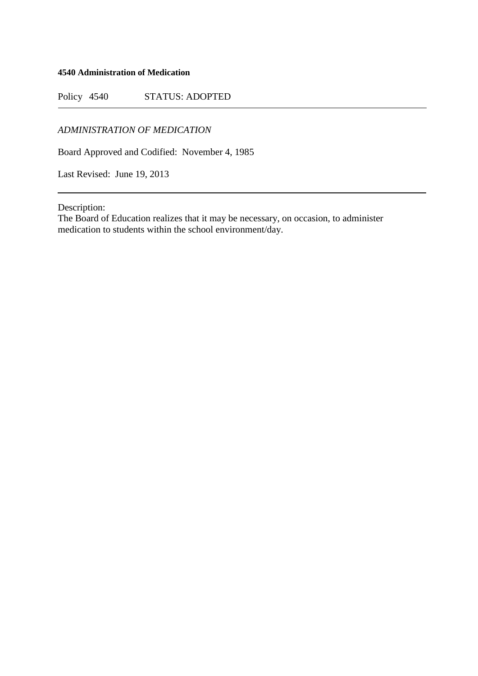## **4540 Administration of Medication**

Policy 4540 STATUS: ADOPTED

*ADMINISTRATION OF MEDICATION*

Board Approved and Codified: November 4, 1985

Last Revised: June 19, 2013

Description:

The Board of Education realizes that it may be necessary, on occasion, to administer medication to students within the school environment/day.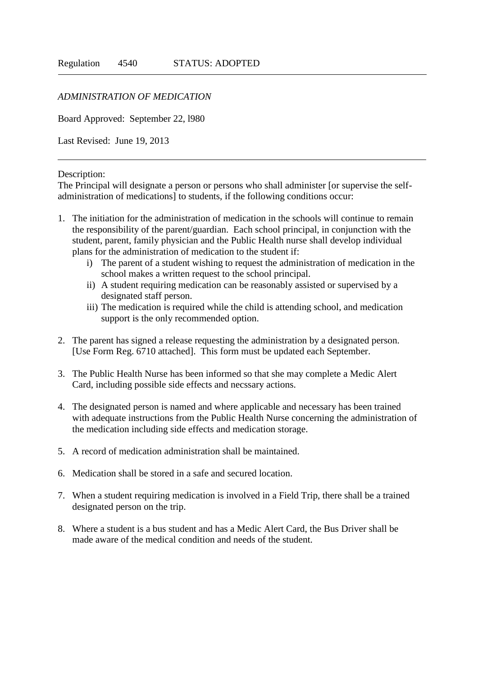## *ADMINISTRATION OF MEDICATION*

Board Approved: September 22, l980

Last Revised: June 19, 2013

## Description:

The Principal will designate a person or persons who shall administer [or supervise the selfadministration of medications] to students, if the following conditions occur:

- 1. The initiation for the administration of medication in the schools will continue to remain the responsibility of the parent/guardian. Each school principal, in conjunction with the student, parent, family physician and the Public Health nurse shall develop individual plans for the administration of medication to the student if:
	- i) The parent of a student wishing to request the administration of medication in the school makes a written request to the school principal.
	- ii) A student requiring medication can be reasonably assisted or supervised by a designated staff person.
	- iii) The medication is required while the child is attending school, and medication support is the only recommended option.
- 2. The parent has signed a release requesting the administration by a designated person. [Use Form Reg. 6710 attached]. This form must be updated each September.
- 3. The Public Health Nurse has been informed so that she may complete a Medic Alert Card, including possible side effects and necssary actions.
- 4. The designated person is named and where applicable and necessary has been trained with adequate instructions from the Public Health Nurse concerning the administration of the medication including side effects and medication storage.
- 5. A record of medication administration shall be maintained.
- 6. Medication shall be stored in a safe and secured location.
- 7. When a student requiring medication is involved in a Field Trip, there shall be a trained designated person on the trip.
- 8. Where a student is a bus student and has a Medic Alert Card, the Bus Driver shall be made aware of the medical condition and needs of the student.